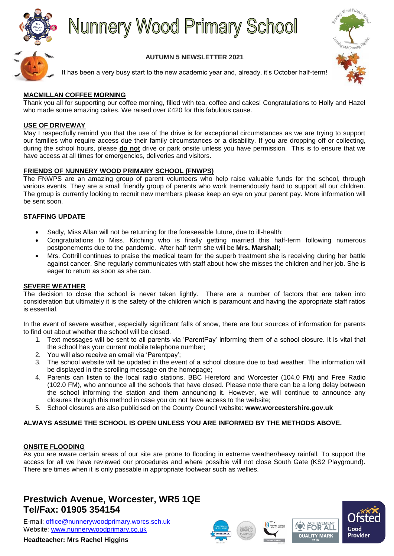

# **Nunnery Wood Primary School**



### **AUTUMN 5 NEWSLETTER 2021**

It has been a very busy start to the new academic year and, already, it's October half-term!

#### **MACMILLAN COFFEE MORNING**

Thank you all for supporting our coffee morning, filled with tea, coffee and cakes! Congratulations to Holly and Hazel who made some amazing cakes. We raised over £420 for this fabulous cause.

#### **USE OF DRIVEWAY**

May I respectfully remind you that the use of the drive is for exceptional circumstances as we are trying to support our families who require access due their family circumstances or a disability. If you are dropping off or collecting, during the school hours, please **do not** drive or park onsite unless you have permission. This is to ensure that we have access at all times for emergencies, deliveries and visitors.

#### **FRIENDS OF NUNNERY WOOD PRIMARY SCHOOL (FNWPS)**

The FNWPS are an amazing group of parent volunteers who help raise valuable funds for the school, through various events. They are a small friendly group of parents who work tremendously hard to support all our children. The group is currently looking to recruit new members please keep an eye on your parent pay. More information will be sent soon.

#### **STAFFING UPDATE**

- Sadly, Miss Allan will not be returning for the foreseeable future, due to ill-health;
- Congratulations to Miss. Kitching who is finally getting married this half-term following numerous postponements due to the pandemic. After half-term she will be **Mrs. Marshall;**
- Mrs. Cottrill continues to praise the medical team for the superb treatment she is receiving during her battle against cancer. She regularly communicates with staff about how she misses the children and her job. She is eager to return as soon as she can.

#### **SEVERE WEATHER**

The decision to close the school is never taken lightly. There are a number of factors that are taken into consideration but ultimately it is the safety of the children which is paramount and having the appropriate staff ratios is essential.

In the event of severe weather, especially significant falls of snow, there are four sources of information for parents to find out about whether the school will be closed.

- 1. Text messages will be sent to all parents via 'ParentPay' informing them of a school closure. It is vital that the school has your current mobile telephone number;
- 2. You will also receive an email via 'Parentpay';
- 3. The school website will be updated in the event of a school closure due to bad weather. The information will be displayed in the scrolling message on the homepage;
- 4. Parents can listen to the local radio stations, BBC Hereford and Worcester (104.0 FM) and Free Radio (102.0 FM), who announce all the schools that have closed. Please note there can be a long delay between the school informing the station and them announcing it. However, we will continue to announce any closures through this method in case you do not have access to the website;
- 5. School closures are also publicised on the County Council website: **www.worcestershire.gov.uk**

#### **ALWAYS ASSUME THE SCHOOL IS OPEN UNLESS YOU ARE INFORMED BY THE METHODS ABOVE.**

#### **ONSITE FLOODING**

As you are aware certain areas of our site are prone to flooding in extreme weather/heavy rainfall. To support the access for all we have reviewed our procedures and where possible will not close South Gate (KS2 Playground). There are times when it is only passable in appropriate footwear such as wellies.

# **Prestwich Avenue, Worcester, WR5 1QE Tel/Fax: 01905 354154**

E-mail: [office@nunnerywoodprimary.worcs.sch.uk](mailto:office@nunnerywoodprimary.worcs.sch.uk) Website: [www.nunnerywoodprimary.co.uk](http://www.nunnerywoodprimary.worcs.sch.uk/)

**Headteacher: Mrs Rachel Higgins**







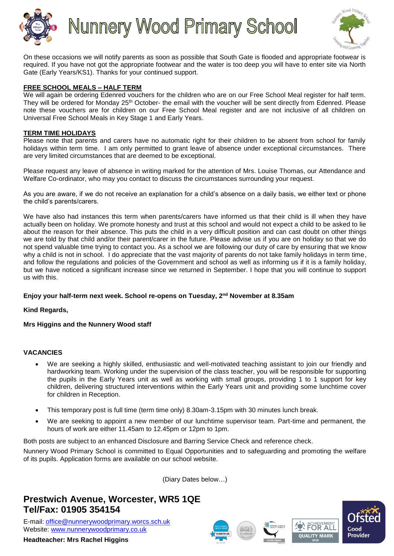

**Nunnery Wood Primary School** 



On these occasions we will notify parents as soon as possible that South Gate is flooded and appropriate footwear is required. If you have not got the appropriate footwear and the water is too deep you will have to enter site via North Gate (Early Years/KS1). Thanks for your continued support.

#### **FREE SCHOOL MEALS – HALF TERM**

We will again be ordering Edenred vouchers for the children who are on our Free School Meal register for half term. They will be ordered for Monday 25<sup>th</sup> October- the email with the voucher will be sent directly from Edenred. Please note these vouchers are for children on our Free School Meal register and are not inclusive of all children on Universal Free School Meals in Key Stage 1 and Early Years.

#### **TERM TIME HOLIDAYS**

Please note that parents and carers have no automatic right for their children to be absent from school for family holidays within term time. I am only permitted to grant leave of absence under exceptional circumstances. There are very limited circumstances that are deemed to be exceptional.

Please request any leave of absence in writing marked for the attention of Mrs. Louise Thomas, our Attendance and Welfare Co-ordinator, who may you contact to discuss the circumstances surrounding your request.

As you are aware, if we do not receive an explanation for a child's absence on a daily basis, we either text or phone the child's parents/carers.

We have also had instances this term when parents/carers have informed us that their child is ill when they have actually been on holiday. We promote honesty and trust at this school and would not expect a child to be asked to lie about the reason for their absence. This puts the child in a very difficult position and can cast doubt on other things we are told by that child and/or their parent/carer in the future. Please advise us if you are on holiday so that we do not spend valuable time trying to contact you. As a school we are following our duty of care by ensuring that we know why a child is not in school. I do appreciate that the vast majority of parents do not take family holidays in term time, and follow the regulations and policies of the Government and school as well as informing us if it is a family holiday, but we have noticed a significant increase since we returned in September. I hope that you will continue to support us with this.

#### **Enjoy your half-term next week. School re-opens on Tuesday, 2nd November at 8.35am**

**Kind Regards,**

**Mrs Higgins and the Nunnery Wood staff**

#### **VACANCIES**

- We are seeking a highly skilled, enthusiastic and well-motivated teaching assistant to join our friendly and hardworking team. Working under the supervision of the class teacher, you will be responsible for supporting the pupils in the Early Years unit as well as working with small groups, providing 1 to 1 support for key children, delivering structured interventions within the Early Years unit and providing some lunchtime cover for children in Reception.
- This temporary post is full time (term time only) 8.30am-3.15pm with 30 minutes lunch break.
- We are seeking to appoint a new member of our lunchtime supervisor team. Part-time and permanent, the hours of work are either 11.45am to 12.45pm or 12pm to 1pm.

Both posts are subject to an enhanced Disclosure and Barring Service Check and reference check.

Nunnery Wood Primary School is committed to Equal Opportunities and to safeguarding and promoting the welfare of its pupils. Application forms are available on our school website.

(Diary Dates below…)

# **Prestwich Avenue, Worcester, WR5 1QE Tel/Fax: 01905 354154**

E-mail: [office@nunnerywoodprimary.worcs.sch.uk](mailto:office@nunnerywoodprimary.worcs.sch.uk) Website: [www.nunnerywoodprimary.co.uk](http://www.nunnerywoodprimary.worcs.sch.uk/)

**Headteacher: Mrs Rachel Higgins**